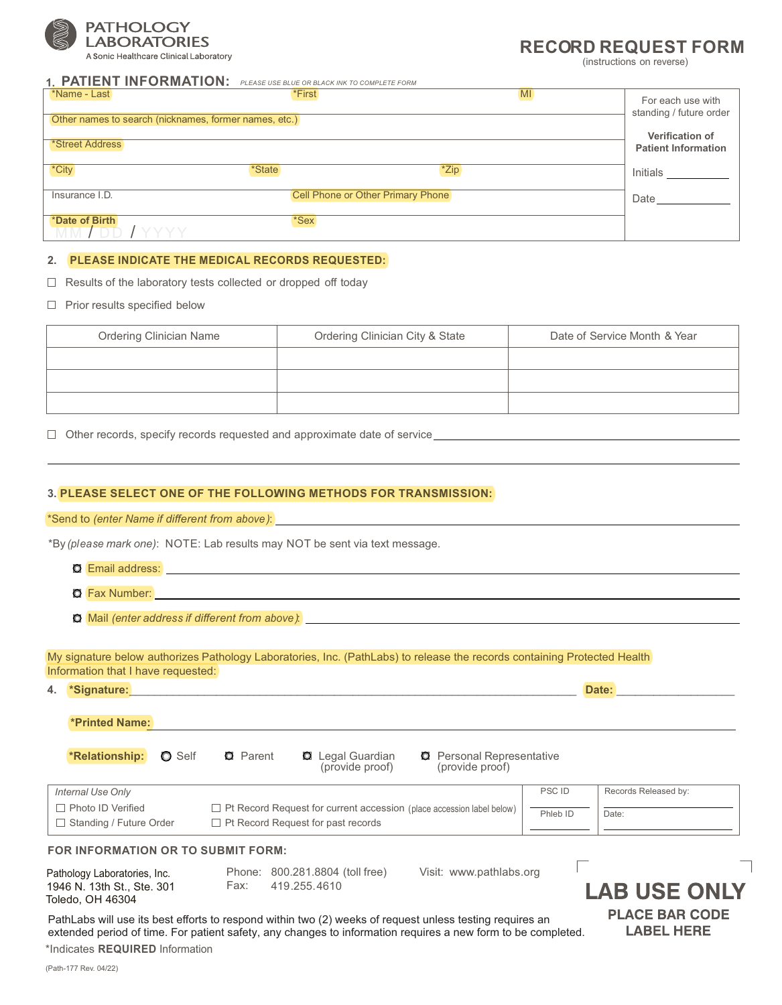

### A Sonic Healthcare Clinical Laboratory

# **RECORD REQUEST FORM**

(instructions on reverse)

| <b>I. FAILEN LINFURNIALIUN,</b> PLEASE USE BLUE OR BLACK INK TO COMPLETE FORM |                                          |                                                      |
|-------------------------------------------------------------------------------|------------------------------------------|------------------------------------------------------|
| *Name - Last                                                                  | <b>MI</b><br>*First                      | For each use with<br>standing / future order         |
| Other names to search (nicknames, former names, etc.)                         |                                          |                                                      |
| *Street Address                                                               |                                          | <b>Verification of</b><br><b>Patient Information</b> |
| *City<br><i>*State</i>                                                        | *Zip                                     | Initials                                             |
| Insurance I.D.                                                                | <b>Cell Phone or Other Primary Phone</b> | Date                                                 |
| *Date of Birth<br><u>MM / DD / YYYY</u>                                       | *Sex                                     |                                                      |

## **2. PLEASE INDICATE THE MEDICAL RECORDS REQUESTED:**

**1. PATIENT INFORMATION:** *PLEASE USE BLUE OR BLACK INK TO COMPLETE FORM* 

 $\Box$  Results of the laboratory tests collected or dropped off today

 $\Box$  Prior results specified below

| <b>Ordering Clinician Name</b> | Ordering Clinician City & State | Date of Service Month & Year |
|--------------------------------|---------------------------------|------------------------------|
|                                |                                 |                              |
|                                |                                 |                              |
|                                |                                 |                              |

□ Other records, specify records requested and approximate date of service <u>example and and a</u>pproximate date of service

## **3. PLEASE SELECT ONE OF THE FOLLOWING METHODS FOR TRANSMISSION:**

## \*Send to *(enter Name if different from above )*:

\*By *(please mark one)*: NOTE: Lab results may NOT be sent via text message.

- O Email address: **Example 20 August 20 August 20 August 20 August 20 August 20 August 20 August 20 August 20 August 20 August 20 August 20 August 20 August 20 August 20 August 20 August 20 August 20 August 20 August 20 Aug**
- **Q** Fax Number:
- Mail *(enter address if different from above )*:

My signature below authorizes Pathology Laboratories, Inc. (PathLabs) to release the records containing Protected Health Information that I have requested:

**4. \*Signature:**\_\_\_\_\_\_\_\_\_\_\_\_\_\_\_\_\_\_\_\_\_\_\_\_\_\_\_\_\_\_\_\_\_\_\_\_\_\_\_\_\_\_\_\_\_\_\_\_\_\_\_\_\_\_\_\_\_\_\_\_\_\_\_\_\_\_\_\_\_\_\_\_ **Date:** \_\_\_\_\_\_\_\_\_\_\_\_\_\_\_\_\_\_\_

| <b>*Printed Name:</b>                                 |                                                                                                                           |              |                      |
|-------------------------------------------------------|---------------------------------------------------------------------------------------------------------------------------|--------------|----------------------|
| <b>*Relationship:</b><br><b>O</b> Self                | <b>Q</b> Parent<br><b>Q</b> Legal Guardian<br><b>Q</b> Personal Representative<br>(provide proof)<br>(provide proof)      |              |                      |
| Internal Use Only                                     |                                                                                                                           | <b>PSCID</b> | Records Released by: |
| □ Photo ID Verified<br>$\Box$ Standing / Future Order | $\Box$ Pt Record Request for current accession (place accession label below)<br>$\Box$ Pt Record Request for past records | Phleb ID     | Date:                |
| FOR INFORMATION OR TO SUBMIT FORM:                    |                                                                                                                           |              |                      |

| Pathology Laboratories, Inc. |      | Phone: 800.281.8804 (toll free) |
|------------------------------|------|---------------------------------|
| 1946 N. 13th St., Ste. 301   | ⊦ax: | 419.255.4610                    |
| Toledo, OH 46304             |      |                                 |

Visit: [www.pathlabs.org](http://www.pathlabs.org)

**LAB USE ONLY PLACE BAR CODE LABEL HERE** 

Г

PathLabs will use its best efforts to respond within two (2) weeks of request unless testing requires an extended period of time. For patient safety, any changes to information requires a new form to be completed.

\*Indicates **REQUIRED** Information